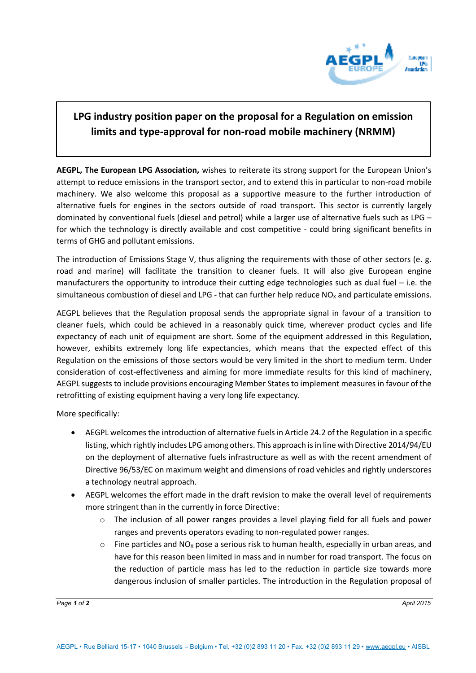

## **LPG industry position paper on the proposal for a Regulation on emission limits and type-approval for non-road mobile machinery (NRMM)**

**AEGPL, The European LPG Association,** wishes to reiterate its strong support for the European Union's attempt to reduce emissions in the transport sector, and to extend this in particular to non-road mobile machinery. We also welcome this proposal as a supportive measure to the further introduction of alternative fuels for engines in the sectors outside of road transport. This sector is currently largely dominated by conventional fuels (diesel and petrol) while a larger use of alternative fuels such as LPG – for which the technology is directly available and cost competitive - could bring significant benefits in terms of GHG and pollutant emissions.

The introduction of Emissions Stage V, thus aligning the requirements with those of other sectors (e. g. road and marine) will facilitate the transition to cleaner fuels. It will also give European engine manufacturers the opportunity to introduce their cutting edge technologies such as dual fuel – i.e. the simultaneous combustion of diesel and LPG - that can further help reduce  $NO<sub>x</sub>$  and particulate emissions.

AEGPL believes that the Regulation proposal sends the appropriate signal in favour of a transition to cleaner fuels, which could be achieved in a reasonably quick time, wherever product cycles and life expectancy of each unit of equipment are short. Some of the equipment addressed in this Regulation, however, exhibits extremely long life expectancies, which means that the expected effect of this Regulation on the emissions of those sectors would be very limited in the short to medium term. Under consideration of cost-effectiveness and aiming for more immediate results for this kind of machinery, AEGPL suggests to include provisions encouraging Member States to implement measures in favour of the retrofitting of existing equipment having a very long life expectancy.

More specifically:

- AEGPL welcomes the introduction of alternative fuels in Article 24.2 of the Regulation in a specific listing, which rightly includes LPG among others. This approach is in line with Directive 2014/94/EU on the deployment of alternative fuels infrastructure as well as with the recent amendment of Directive 96/53/EC on maximum weight and dimensions of road vehicles and rightly underscores a technology neutral approach.
- AEGPL welcomes the effort made in the draft revision to make the overall level of requirements more stringent than in the currently in force Directive:
	- o The inclusion of all power ranges provides a level playing field for all fuels and power ranges and prevents operators evading to non-regulated power ranges.
	- $\circ$  Fine particles and NO<sub>X</sub> pose a serious risk to human health, especially in urban areas, and have for this reason been limited in mass and in number for road transport. The focus on the reduction of particle mass has led to the reduction in particle size towards more dangerous inclusion of smaller particles. The introduction in the Regulation proposal of